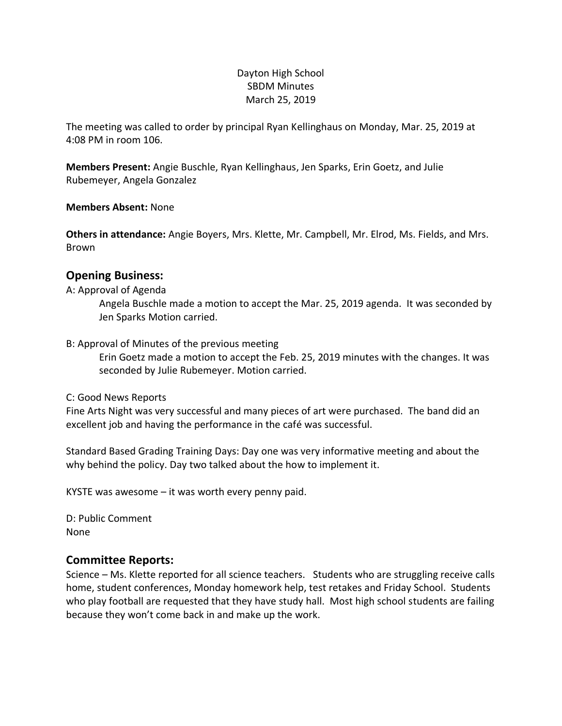#### Dayton High School SBDM Minutes March 25, 2019

The meeting was called to order by principal Ryan Kellinghaus on Monday, Mar. 25, 2019 at 4:08 PM in room 106.

**Members Present:** Angie Buschle, Ryan Kellinghaus, Jen Sparks, Erin Goetz, and Julie Rubemeyer, Angela Gonzalez

**Members Absent:** None

**Others in attendance:** Angie Boyers, Mrs. Klette, Mr. Campbell, Mr. Elrod, Ms. Fields, and Mrs. Brown

### **Opening Business:**

#### A: Approval of Agenda

Angela Buschle made a motion to accept the Mar. 25, 2019 agenda. It was seconded by Jen Sparks Motion carried.

#### B: Approval of Minutes of the previous meeting

Erin Goetz made a motion to accept the Feb. 25, 2019 minutes with the changes. It was seconded by Julie Rubemeyer. Motion carried.

C: Good News Reports

Fine Arts Night was very successful and many pieces of art were purchased. The band did an excellent job and having the performance in the café was successful.

Standard Based Grading Training Days: Day one was very informative meeting and about the why behind the policy. Day two talked about the how to implement it.

KYSTE was awesome – it was worth every penny paid.

D: Public Comment None

#### **Committee Reports:**

Science – Ms. Klette reported for all science teachers. Students who are struggling receive calls home, student conferences, Monday homework help, test retakes and Friday School. Students who play football are requested that they have study hall. Most high school students are failing because they won't come back in and make up the work.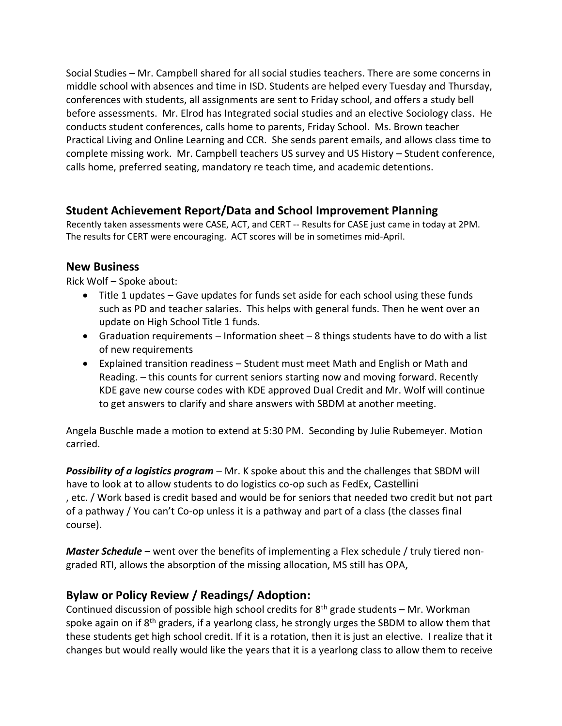Social Studies – Mr. Campbell shared for all social studies teachers. There are some concerns in middle school with absences and time in ISD. Students are helped every Tuesday and Thursday, conferences with students, all assignments are sent to Friday school, and offers a study bell before assessments. Mr. Elrod has Integrated social studies and an elective Sociology class. He conducts student conferences, calls home to parents, Friday School. Ms. Brown teacher Practical Living and Online Learning and CCR. She sends parent emails, and allows class time to complete missing work. Mr. Campbell teachers US survey and US History – Student conference, calls home, preferred seating, mandatory re teach time, and academic detentions.

## **Student Achievement Report/Data and School Improvement Planning**

Recently taken assessments were CASE, ACT, and CERT -- Results for CASE just came in today at 2PM. The results for CERT were encouraging. ACT scores will be in sometimes mid-April.

### **New Business**

Rick Wolf – Spoke about:

- Title 1 updates Gave updates for funds set aside for each school using these funds such as PD and teacher salaries. This helps with general funds. Then he went over an update on High School Title 1 funds.
- Graduation requirements Information sheet 8 things students have to do with a list of new requirements
- Explained transition readiness Student must meet Math and English or Math and Reading. – this counts for current seniors starting now and moving forward. Recently KDE gave new course codes with KDE approved Dual Credit and Mr. Wolf will continue to get answers to clarify and share answers with SBDM at another meeting.

Angela Buschle made a motion to extend at 5:30 PM. Seconding by Julie Rubemeyer. Motion carried.

*Possibility of a logistics program* – Mr. K spoke about this and the challenges that SBDM will have to look at to allow students to do logistics co-op such as FedEx, Castellini , etc. / Work based is credit based and would be for seniors that needed two credit but not part of a pathway / You can't Co-op unless it is a pathway and part of a class (the classes final course).

*Master Schedule* – went over the benefits of implementing a Flex schedule / truly tiered nongraded RTI, allows the absorption of the missing allocation, MS still has OPA,

# **Bylaw or Policy Review / Readings/ Adoption:**

Continued discussion of possible high school credits for  $8<sup>th</sup>$  grade students – Mr. Workman spoke again on if 8<sup>th</sup> graders, if a yearlong class, he strongly urges the SBDM to allow them that these students get high school credit. If it is a rotation, then it is just an elective. I realize that it changes but would really would like the years that it is a yearlong class to allow them to receive